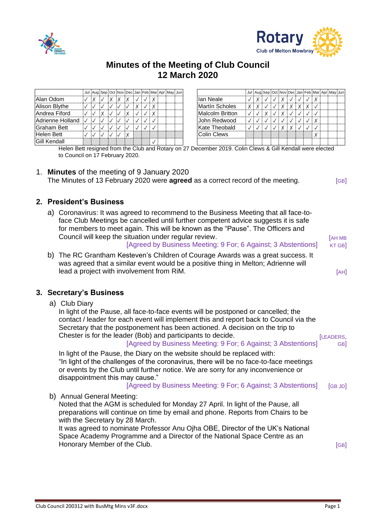



# **Minutes of the Meeting of Club Council 12 March 2020**

|                     |  |  |  |  |  | Jul Aug Sep Oct Nov Dec Jan Feb Mar Apr May Jun |                    |   |  |  |   |   |  | Jul Aug Sep Oct Nov Dec Jan Feb Mar Apr May Jun |  |
|---------------------|--|--|--|--|--|-------------------------------------------------|--------------------|---|--|--|---|---|--|-------------------------------------------------|--|
| Alan Odom           |  |  |  |  |  |                                                 | llan Neale         |   |  |  |   |   |  |                                                 |  |
| Alison Blythe       |  |  |  |  |  |                                                 | Martín Scholes     | X |  |  | X | X |  |                                                 |  |
| Andrea Fiford       |  |  |  |  |  |                                                 | Malcolm Britton    |   |  |  |   |   |  |                                                 |  |
| Adrienne Holland    |  |  |  |  |  |                                                 | John Redwood       |   |  |  |   |   |  |                                                 |  |
| Graham Bett         |  |  |  |  |  |                                                 | Kate Theobald      |   |  |  |   |   |  |                                                 |  |
| Helen Bett          |  |  |  |  |  |                                                 | <b>Colin Clews</b> |   |  |  |   |   |  |                                                 |  |
| <b>Gill Kendall</b> |  |  |  |  |  |                                                 |                    |   |  |  |   |   |  |                                                 |  |

Helen Bett resigned from the Club and Rotary on 27 December 2019. Colin Clews & Gill Kendall were elected to Council on 17 February 2020.

#### 1. **Minutes** of the meeting of 9 January 2020 The Minutes of 13 February 2020 were **agreed** as a correct record of the meeting. [GB]

### **2. President's Business**

|  | a) Coronavirus: It was agreed to recommend to the Business Meeting that all face-to-<br>face Club Meetings be cancelled until further competent advice suggests it is safe<br>for members to meet again. This will be known as the "Pause". The Officers and<br>Council will keep the situation under regular review.<br>[Agreed by Business Meeting: 9 For; 6 Against; 3 Abstentions]                                                                                                                                                                                                                                                                                                                                                                                       | <b>[AH MB</b><br>KT GB]                |
|--|------------------------------------------------------------------------------------------------------------------------------------------------------------------------------------------------------------------------------------------------------------------------------------------------------------------------------------------------------------------------------------------------------------------------------------------------------------------------------------------------------------------------------------------------------------------------------------------------------------------------------------------------------------------------------------------------------------------------------------------------------------------------------|----------------------------------------|
|  | b) The RC Grantham Kesteven's Children of Courage Awards was a great success. It<br>was agreed that a similar event would be a positive thing in Melton; Adrienne will<br>lead a project with involvement from RiM.                                                                                                                                                                                                                                                                                                                                                                                                                                                                                                                                                          | [AH]                                   |
|  | 3. Secretary's Business                                                                                                                                                                                                                                                                                                                                                                                                                                                                                                                                                                                                                                                                                                                                                      |                                        |
|  | a) Club Diary<br>In light of the Pause, all face-to-face events will be postponed or cancelled; the<br>contact / leader for each event will implement this and report back to Council via the<br>Secretary that the postponement has been actioned. A decision on the trip to<br>Chester is for the leader (Bob) and participants to decide.<br>[Agreed by Business Meeting: 9 For; 6 Against; 3 Abstentions]<br>In light of the Pause, the Diary on the website should be replaced with:<br>"In light of the challenges of the coronavirus, there will be no face-to-face meetings<br>or events by the Club until further notice. We are sorry for any inconvenience or<br>disappointment this may cause."<br>[Agreed by Business Meeting: 9 For; 6 Against; 3 Abstentions] | [LEADERS,<br>GB <sub>1</sub><br>[GBJD] |
|  | b) Annual General Meeting:<br>Noted that the AGM is scheduled for Monday 27 April. In light of the Pause, all<br>preparations will continue on time by email and phone. Reports from Chairs to be<br>with the Secretary by 28 March.<br>It was agreed to nominate Professor Anu Ojha OBE, Director of the UK's National<br>Space Academy Programme and a Director of the National Space Centre as an<br>Honorary Member of the Club.                                                                                                                                                                                                                                                                                                                                         | [GB]                                   |
|  |                                                                                                                                                                                                                                                                                                                                                                                                                                                                                                                                                                                                                                                                                                                                                                              |                                        |